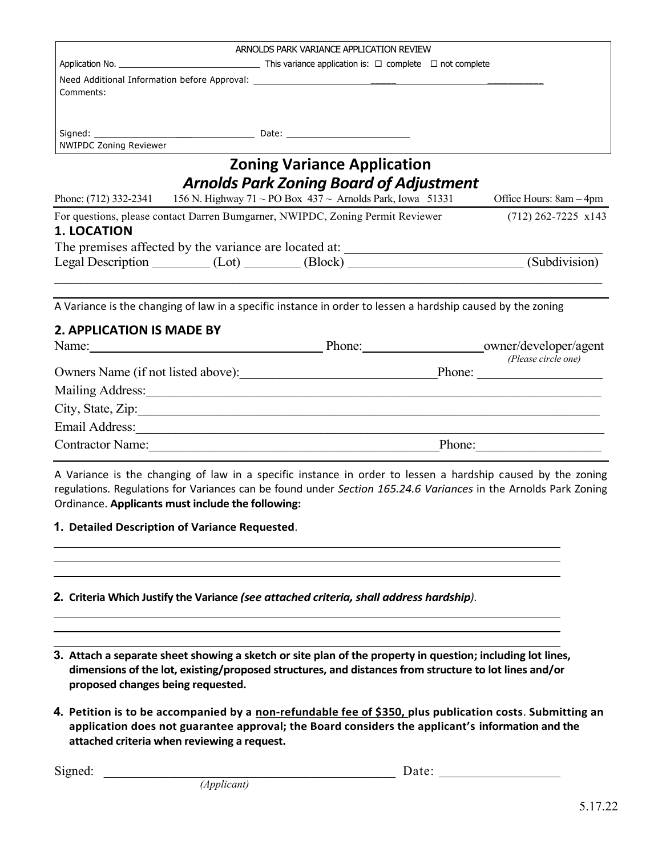|                                                  |  | ARNOLDS PARK VARIANCE APPLICATION REVIEW                                                                                                                                                                                       |        |                     |
|--------------------------------------------------|--|--------------------------------------------------------------------------------------------------------------------------------------------------------------------------------------------------------------------------------|--------|---------------------|
|                                                  |  |                                                                                                                                                                                                                                |        |                     |
| Comments:                                        |  |                                                                                                                                                                                                                                |        |                     |
| <b>NWIPDC Zoning Reviewer</b>                    |  |                                                                                                                                                                                                                                |        |                     |
|                                                  |  | <b>Zoning Variance Application</b><br><b>Arnolds Park Zoning Board of Adjustment</b><br>Phone: (712) 332-2341 156 N. Highway 71 ~ PO Box 437 ~ Arnolds Park, Iowa 51331 Office Hours: $8am - 4pm$                              |        |                     |
|                                                  |  | For questions, please contact Darren Bumgarner, NWIPDC, Zoning Permit Reviewer (712) 262-7225 x143                                                                                                                             |        |                     |
| <b>1. LOCATION</b>                               |  |                                                                                                                                                                                                                                |        |                     |
|                                                  |  | The premises affected by the variance are located at: ___________________________                                                                                                                                              |        |                     |
|                                                  |  | Legal Description (Lot) (Block) (Block) (Subdivision)                                                                                                                                                                          |        |                     |
|                                                  |  | A Variance is the changing of law in a specific instance in order to lessen a hardship caused by the zoning                                                                                                                    |        |                     |
| <b>2. APPLICATION IS MADE BY</b>                 |  |                                                                                                                                                                                                                                |        |                     |
|                                                  |  |                                                                                                                                                                                                                                |        |                     |
| Owners Name (if not listed above): Phone: Phone: |  |                                                                                                                                                                                                                                |        | (Please circle one) |
|                                                  |  | Mailing Address: Mailing Address:                                                                                                                                                                                              |        |                     |
|                                                  |  | City, State, Zip:                                                                                                                                                                                                              |        |                     |
|                                                  |  | Email Address: Note and Address and Address and Address and Address and Address and Address and Address and Address and Address and Address and Address and Address and Address and Address and Address and Address and Addres |        |                     |
| <b>Contractor Name:</b>                          |  |                                                                                                                                                                                                                                | Phone: |                     |

A Variance is the changing of law in a specific instance in order to lessen a hardship caused by the zoning regulations. Regulations for Variances can be found under *Section 165.24.6 Variances* in the Arnolds Park Zoning Ordinance. **Applicants must include the following:**

**1. Detailed Description of Variance Requested**.

## **2. Criteria Which Justify the Variance** *(see attached criteria, shall address hardship)*.

**3. Attach a separate sheet showing a sketch or site plan of the property in question; including lot lines, dimensions of the lot, existing/proposed structures, and distances from structure to lot lines and/or proposed changes being requested.**

**4. Petition is to be accompanied by a non-refundable fee of \$350, plus publication costs**. **Submitting an application does not guarantee approval; the Board considers the applicant's information and the attached criteria when reviewing a request.**

Signed: \_\_\_\_\_\_\_\_\_\_\_\_\_\_\_\_\_\_\_\_\_\_\_\_\_\_\_\_\_\_\_\_\_\_\_\_\_\_\_\_\_\_\_\_\_ Date: